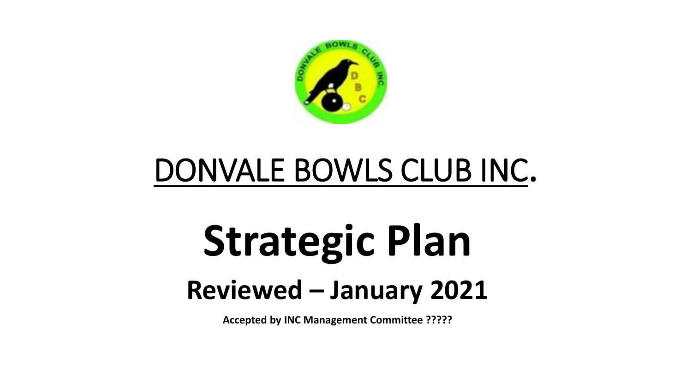

## DONVALE BOWLS CLUB INC.

# **Strategic Plan Reviewed – January 2021**

**Accepted by INC Management Committee ?????**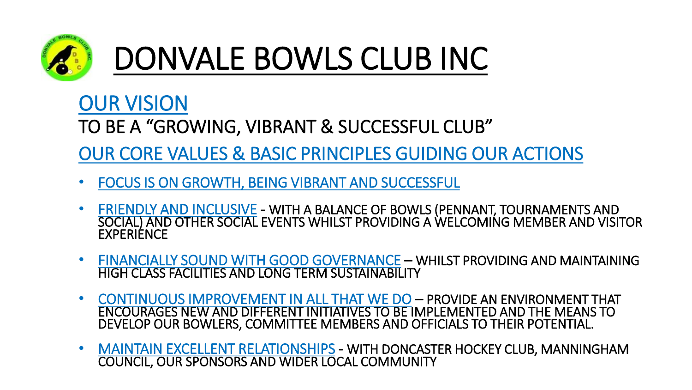

## DONVALE BOWLS CLUB INC

#### OUR VISION

TO BE A "GROWING, VIBRANT & SUCCESSFUL CLUB"

OUR CORE VALUES & BASIC PRINCIPLES GUIDING OUR ACTIONS

- FOCUS IS ON GROWTH, BEING VIBRANT AND SUCCESSFUL
- FRIENDLY AND INCLUSIVE WITH A BALANCE OF BOWLS (PENNANT, TOURNAMENTS AND SOCIAL) AND OTHER SOCIAL EVENTS WHILST PROVIDING A WELCOMING MEMBER AND VISITOR **EXPERIENCE**
- FINANCIALLY SOUND WITH GOOD GOVERNANCE WHILST PROVIDING AND MAINTAINING HIGH CLASS FACILITIES AND LONG TERM SUSTAINABILITY
- CONTINUOUS IMPROVEMENT IN ALL THAT WE DO PROVIDE AN ENVIRONMENT THAT ENCOURAGES NEW AND DIFFERENT INITIATIVES TO BE IMPLEMENTED AND THE MEANS TO DEVELOP OUR BOWLERS, COMMITTEE MEMBERS AND OFFICIALS TO THEIR POTENTIAL.
- MAINTAIN EXCELLENT RELATIONSHIPS WITH DONCASTER HOCKEY CLUB, MANNINGHAM COUNCIL, OUR SPONSORS AND WIDER LOCAL COMMUNITY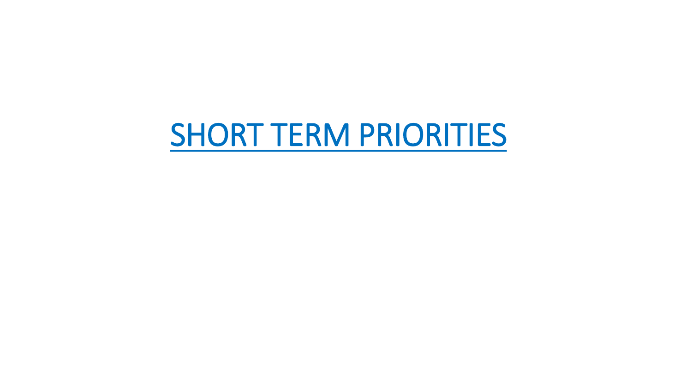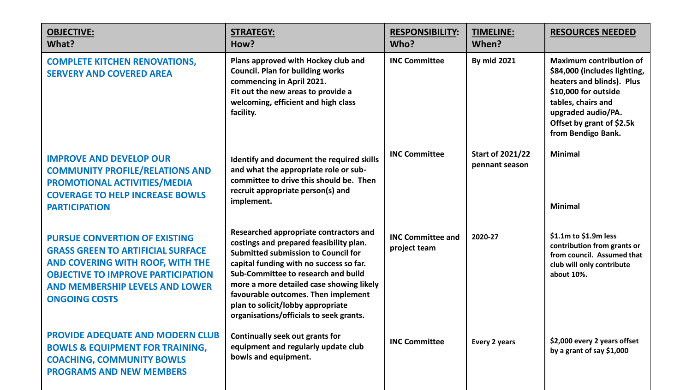| <b>OBJECTIVE:</b><br>What?                                                                                                                                                                                                          | <b>STRATEGY:</b><br>How?                                                                                                                                                                                                                                                                                                                                                      | <b>RESPONSIBILITY:</b><br>Who?           | <b>TIMELINE:</b><br>When?                 | <b>RESOURCES NEEDED</b>                                                                                                                                                                                            |
|-------------------------------------------------------------------------------------------------------------------------------------------------------------------------------------------------------------------------------------|-------------------------------------------------------------------------------------------------------------------------------------------------------------------------------------------------------------------------------------------------------------------------------------------------------------------------------------------------------------------------------|------------------------------------------|-------------------------------------------|--------------------------------------------------------------------------------------------------------------------------------------------------------------------------------------------------------------------|
| <b>COMPLETE KITCHEN RENOVATIONS,</b><br><b>SERVERY AND COVERED AREA</b>                                                                                                                                                             | Plans approved with Hockey club and<br><b>Council. Plan for building works</b><br>commencing in April 2021.<br>Fit out the new areas to provide a<br>welcoming, efficient and high class<br>facility.                                                                                                                                                                         | <b>INC Committee</b>                     | <b>By mid 2021</b>                        | <b>Maximum contribution of</b><br>\$84,000 (includes lighting,<br>heaters and blinds). Plus<br>\$10,000 for outside<br>tables, chairs and<br>upgraded audio/PA.<br>Offset by grant of \$2.5k<br>from Bendigo Bank. |
| <b>IMPROVE AND DEVELOP OUR</b><br><b>COMMUNITY PROFILE/RELATIONS AND</b><br><b>PROMOTIONAL ACTIVITIES/MEDIA</b><br><b>COVERAGE TO HELP INCREASE BOWLS</b><br><b>PARTICIPATION</b>                                                   | Identify and document the required skills<br>and what the appropriate role or sub-<br>committee to drive this should be. Then<br>recruit appropriate person(s) and<br>implement.                                                                                                                                                                                              | <b>INC Committee</b>                     | <b>Start of 2021/22</b><br>pennant season | <b>Minimal</b><br><b>Minimal</b>                                                                                                                                                                                   |
| <b>PURSUE CONVERTION OF EXISTING</b><br><b>GRASS GREEN TO ARTIFICIAL SURFACE</b><br>AND COVERING WITH ROOF, WITH THE<br><b>OBJECTIVE TO IMPROVE PARTICIPATION</b><br><b>AND MEMBERSHIP LEVELS AND LOWER</b><br><b>ONGOING COSTS</b> | Researched appropriate contractors and<br>costings and prepared feasibility plan.<br>Submitted submission to Council for<br>capital funding with no success so far.<br>Sub-Committee to research and build<br>more a more detailed case showing likely<br>favourable outcomes. Then implement<br>plan to solicit/lobby appropriate<br>organisations/officials to seek grants. | <b>INC Committee and</b><br>project team | 2020-27                                   | \$1.1m to \$1.9m less<br>contribution from grants or<br>from council. Assumed that<br>club will only contribute<br>about 10%.                                                                                      |
| PROVIDE ADEQUATE AND MODERN CLUB<br><b>BOWLS &amp; EQUIPMENT FOR TRAINING,</b><br><b>COACHING, COMMUNITY BOWLS</b><br><b>PROGRAMS AND NEW MEMBERS</b>                                                                               | Continually seek out grants for<br>equipment and regularly update club<br>bowls and equipment.                                                                                                                                                                                                                                                                                | <b>INC Committee</b>                     | Every 2 years                             | \$2,000 every 2 years offset<br>by a grant of say \$1,000                                                                                                                                                          |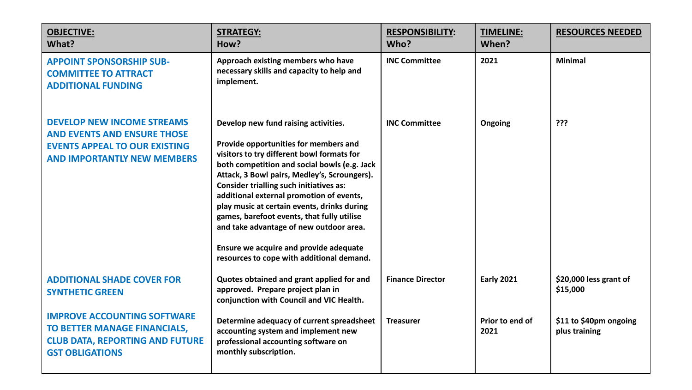| <b>OBJECTIVE:</b><br>What?                                                                                                                            | <b>STRATEGY:</b><br>How?                                                                                                                                                                                                                                                                                                                                                                                                                                                                                                                                 | <b>RESPONSIBILITY:</b><br>Who? | <b>TIMELINE:</b><br>When? | <b>RESOURCES NEEDED</b>                 |
|-------------------------------------------------------------------------------------------------------------------------------------------------------|----------------------------------------------------------------------------------------------------------------------------------------------------------------------------------------------------------------------------------------------------------------------------------------------------------------------------------------------------------------------------------------------------------------------------------------------------------------------------------------------------------------------------------------------------------|--------------------------------|---------------------------|-----------------------------------------|
| <b>APPOINT SPONSORSHIP SUB-</b><br><b>COMMITTEE TO ATTRACT</b><br><b>ADDITIONAL FUNDING</b>                                                           | Approach existing members who have<br>necessary skills and capacity to help and<br>implement.                                                                                                                                                                                                                                                                                                                                                                                                                                                            | <b>INC Committee</b>           | 2021                      | <b>Minimal</b>                          |
| <b>DEVELOP NEW INCOME STREAMS</b><br><b>AND EVENTS AND ENSURE THOSE</b><br><b>EVENTS APPEAL TO OUR EXISTING</b><br><b>AND IMPORTANTLY NEW MEMBERS</b> | Develop new fund raising activities.<br>Provide opportunities for members and<br>visitors to try different bowl formats for<br>both competition and social bowls (e.g. Jack<br>Attack, 3 Bowl pairs, Medley's, Scroungers).<br><b>Consider trialling such initiatives as:</b><br>additional external promotion of events,<br>play music at certain events, drinks during<br>games, barefoot events, that fully utilise<br>and take advantage of new outdoor area.<br>Ensure we acquire and provide adequate<br>resources to cope with additional demand. | <b>INC Committee</b>           | Ongoing                   | ???                                     |
| <b>ADDITIONAL SHADE COVER FOR</b><br><b>SYNTHETIC GREEN</b>                                                                                           | Quotes obtained and grant applied for and<br>approved. Prepare project plan in<br>conjunction with Council and VIC Health.                                                                                                                                                                                                                                                                                                                                                                                                                               | <b>Finance Director</b>        | <b>Early 2021</b>         | \$20,000 less grant of<br>\$15,000      |
| <b>IMPROVE ACCOUNTING SOFTWARE</b><br>TO BETTER MANAGE FINANCIALS,<br><b>CLUB DATA, REPORTING AND FUTURE</b><br><b>GST OBLIGATIONS</b>                | Determine adequacy of current spreadsheet<br>accounting system and implement new<br>professional accounting software on<br>monthly subscription.                                                                                                                                                                                                                                                                                                                                                                                                         | <b>Treasurer</b>               | Prior to end of<br>2021   | \$11 to \$40pm ongoing<br>plus training |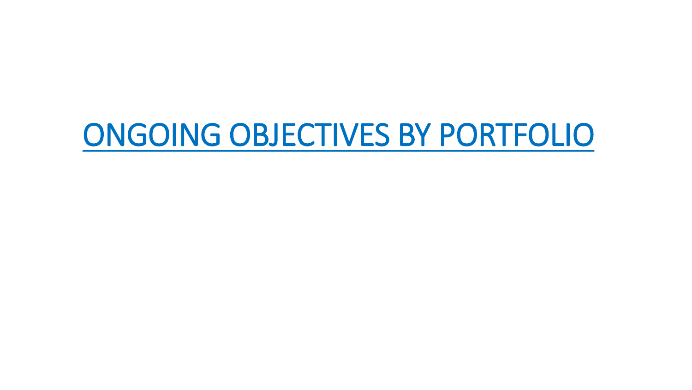### ONGOING OBJECTIVES BY PORTFOLIO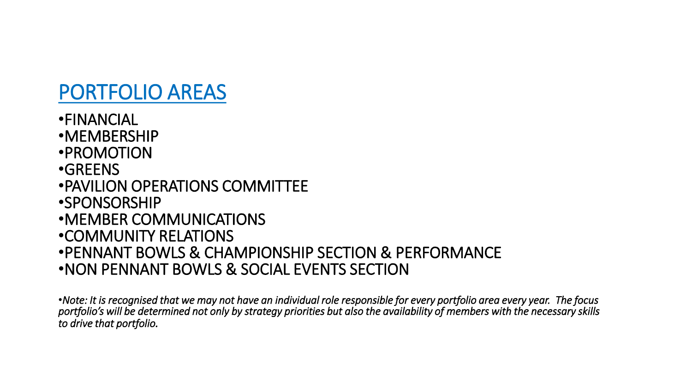#### PORTFOLIO AREAS

•FINANCIAL •MEMBERSHIP •PROMOTION •GREENS •PAVILION OPERATIONS COMMITTEE •SPONSORSHIP •MEMBER COMMUNICATIONS •COMMUNITY RELATIONS •PENNANT BOWLS & CHAMPIONSHIP SECTION & PERFORMANCE •NON PENNANT BOWLS & SOCIAL EVENTS SECTION

•*Note: It is recognised that we may not have an individual role responsible for every portfolio area every year. The focus portfolio's will be determined not only by strategy priorities but also the availability of members with the necessary skills to drive that portfolio.*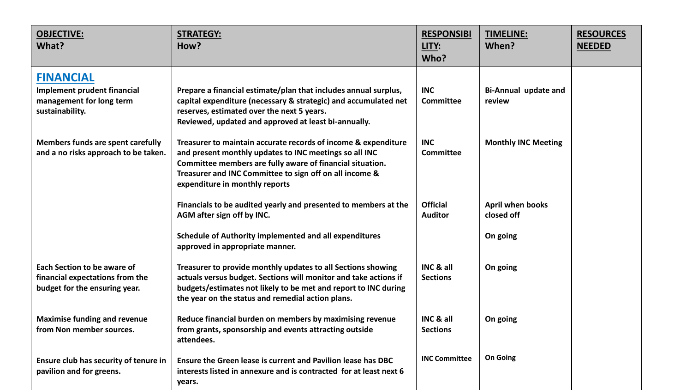| <b>OBJECTIVE:</b><br>What?                                                                             | <b>STRATEGY:</b><br>How?                                                                                                                                                                                                                                                           | <b>RESPONSIBI</b><br>LITY:<br>Who? | <b>TIMELINE:</b><br>When?             | <b>RESOURCES</b><br><b>NEEDED</b> |
|--------------------------------------------------------------------------------------------------------|------------------------------------------------------------------------------------------------------------------------------------------------------------------------------------------------------------------------------------------------------------------------------------|------------------------------------|---------------------------------------|-----------------------------------|
| <b>FINANCIAL</b><br><b>Implement prudent financial</b><br>management for long term<br>sustainability.  | Prepare a financial estimate/plan that includes annual surplus,<br>capital expenditure (necessary & strategic) and accumulated net<br>reserves, estimated over the next 5 years.<br>Reviewed, updated and approved at least bi-annually.                                           | <b>INC</b><br><b>Committee</b>     | <b>Bi-Annual update and</b><br>review |                                   |
| Members funds are spent carefully<br>and a no risks approach to be taken.                              | Treasurer to maintain accurate records of income & expenditure<br>and present monthly updates to INC meetings so all INC<br>Committee members are fully aware of financial situation.<br>Treasurer and INC Committee to sign off on all income &<br>expenditure in monthly reports | <b>INC</b><br><b>Committee</b>     | <b>Monthly INC Meeting</b>            |                                   |
|                                                                                                        | Financials to be audited yearly and presented to members at the<br>AGM after sign off by INC.                                                                                                                                                                                      | <b>Official</b><br><b>Auditor</b>  | April when books<br>closed off        |                                   |
|                                                                                                        | Schedule of Authority implemented and all expenditures<br>approved in appropriate manner.                                                                                                                                                                                          |                                    | On going                              |                                   |
| <b>Each Section to be aware of</b><br>financial expectations from the<br>budget for the ensuring year. | Treasurer to provide monthly updates to all Sections showing<br>actuals versus budget. Sections will monitor and take actions if<br>budgets/estimates not likely to be met and report to INC during<br>the year on the status and remedial action plans.                           | INC & all<br><b>Sections</b>       | On going                              |                                   |
| <b>Maximise funding and revenue</b><br>from Non member sources.                                        | Reduce financial burden on members by maximising revenue<br>from grants, sponsorship and events attracting outside<br>attendees.                                                                                                                                                   | INC & all<br><b>Sections</b>       | On going                              |                                   |
| Ensure club has security of tenure in<br>pavilion and for greens.                                      | Ensure the Green lease is current and Pavilion lease has DBC<br>interests listed in annexure and is contracted for at least next 6<br>years.                                                                                                                                       | <b>INC Committee</b>               | <b>On Going</b>                       |                                   |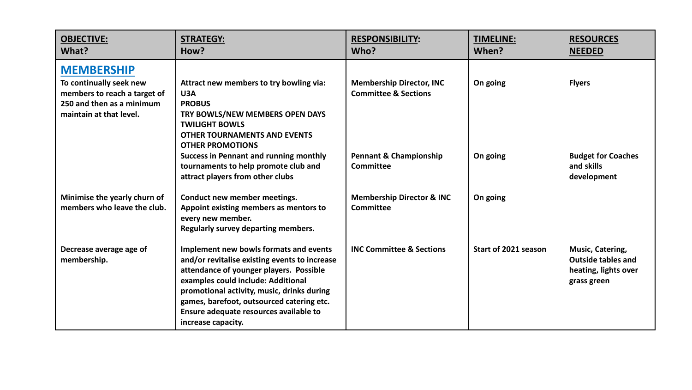| <b>OBJECTIVE:</b><br>What?                                                                                                           | <b>STRATEGY:</b><br>How?                                                                                                                                                                                                                                                                                                            | <b>RESPONSIBILITY:</b><br>Who?                                     | <b>TIMELINE:</b><br>When? | <b>RESOURCES</b><br><b>NEEDED</b>                                                    |
|--------------------------------------------------------------------------------------------------------------------------------------|-------------------------------------------------------------------------------------------------------------------------------------------------------------------------------------------------------------------------------------------------------------------------------------------------------------------------------------|--------------------------------------------------------------------|---------------------------|--------------------------------------------------------------------------------------|
| <b>MEMBERSHIP</b><br>To continually seek new<br>members to reach a target of<br>250 and then as a minimum<br>maintain at that level. | Attract new members to try bowling via:<br>U3A<br><b>PROBUS</b><br>TRY BOWLS/NEW MEMBERS OPEN DAYS<br><b>TWILIGHT BOWLS</b><br><b>OTHER TOURNAMENTS AND EVENTS</b><br><b>OTHER PROMOTIONS</b>                                                                                                                                       | <b>Membership Director, INC</b><br><b>Committee &amp; Sections</b> | On going                  | <b>Flyers</b>                                                                        |
|                                                                                                                                      | <b>Success in Pennant and running monthly</b><br>tournaments to help promote club and<br>attract players from other clubs                                                                                                                                                                                                           | <b>Pennant &amp; Championship</b><br>Committee                     | On going                  | <b>Budget for Coaches</b><br>and skills<br>development                               |
| Minimise the yearly churn of<br>members who leave the club.                                                                          | Conduct new member meetings.<br>Appoint existing members as mentors to<br>every new member.<br>Regularly survey departing members.                                                                                                                                                                                                  | <b>Membership Director &amp; INC</b><br>Committee                  | On going                  |                                                                                      |
| Decrease average age of<br>membership.                                                                                               | Implement new bowls formats and events<br>and/or revitalise existing events to increase<br>attendance of younger players. Possible<br>examples could include: Additional<br>promotional activity, music, drinks during<br>games, barefoot, outsourced catering etc.<br>Ensure adequate resources available to<br>increase capacity. | <b>INC Committee &amp; Sections</b>                                | Start of 2021 season      | Music, Catering,<br><b>Outside tables and</b><br>heating, lights over<br>grass green |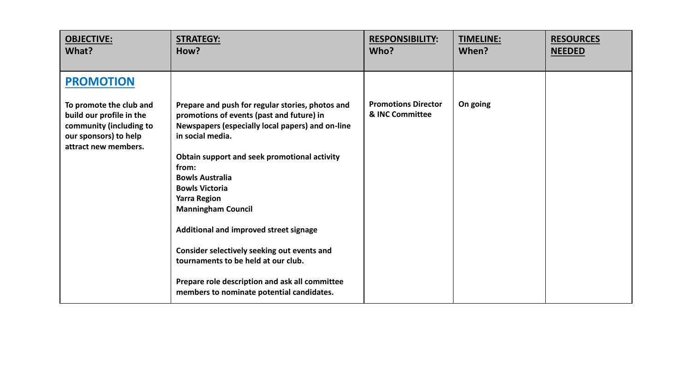| <b>OBJECTIVE:</b>                                                                                                                                   | <b>STRATEGY:</b>                                                                                                                                                                                                                                                                                                                                                                                                                                                                                                                                                     | <b>RESPONSIBILITY:</b>                        | <b>TIMELINE:</b> | <b>RESOURCES</b> |
|-----------------------------------------------------------------------------------------------------------------------------------------------------|----------------------------------------------------------------------------------------------------------------------------------------------------------------------------------------------------------------------------------------------------------------------------------------------------------------------------------------------------------------------------------------------------------------------------------------------------------------------------------------------------------------------------------------------------------------------|-----------------------------------------------|------------------|------------------|
| What?                                                                                                                                               | How?                                                                                                                                                                                                                                                                                                                                                                                                                                                                                                                                                                 | Who?                                          | When?            | <b>NEEDED</b>    |
| <b>PROMOTION</b><br>To promote the club and<br>build our profile in the<br>community (including to<br>our sponsors) to help<br>attract new members. | Prepare and push for regular stories, photos and<br>promotions of events (past and future) in<br>Newspapers (especially local papers) and on-line<br>in social media.<br>Obtain support and seek promotional activity<br>from:<br><b>Bowls Australia</b><br><b>Bowls Victoria</b><br><b>Yarra Region</b><br><b>Manningham Council</b><br>Additional and improved street signage<br>Consider selectively seeking out events and<br>tournaments to be held at our club.<br>Prepare role description and ask all committee<br>members to nominate potential candidates. | <b>Promotions Director</b><br>& INC Committee | On going         |                  |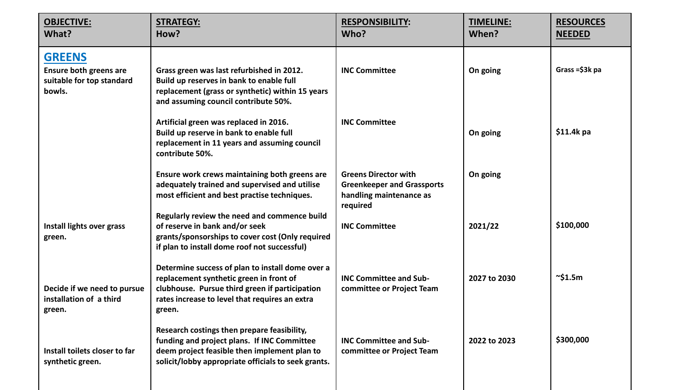| <b>OBJECTIVE:</b><br>What?                                                            | <b>STRATEGY:</b><br>How?                                                                                                                                                                                  | <b>RESPONSIBILITY:</b><br>Who?                                                                          | <b>TIMELINE:</b><br>When? | <b>RESOURCES</b><br><b>NEEDED</b> |
|---------------------------------------------------------------------------------------|-----------------------------------------------------------------------------------------------------------------------------------------------------------------------------------------------------------|---------------------------------------------------------------------------------------------------------|---------------------------|-----------------------------------|
| <b>GREENS</b><br><b>Ensure both greens are</b><br>suitable for top standard<br>bowls. | Grass green was last refurbished in 2012.<br>Build up reserves in bank to enable full<br>replacement (grass or synthetic) within 15 years<br>and assuming council contribute 50%.                         | <b>INC Committee</b>                                                                                    | On going                  | Grass= $$3k$ pa                   |
|                                                                                       | Artificial green was replaced in 2016.<br>Build up reserve in bank to enable full<br>replacement in 11 years and assuming council<br>contribute 50%.                                                      | <b>INC Committee</b>                                                                                    | On going                  | $$11.4k$ pa                       |
|                                                                                       | Ensure work crews maintaining both greens are<br>adequately trained and supervised and utilise<br>most efficient and best practise techniques.                                                            | <b>Greens Director with</b><br><b>Greenkeeper and Grassports</b><br>handling maintenance as<br>required | On going                  |                                   |
| Install lights over grass<br>green.                                                   | Regularly review the need and commence build<br>of reserve in bank and/or seek<br>grants/sponsorships to cover cost (Only required<br>if plan to install dome roof not successful)                        | <b>INC Committee</b>                                                                                    | 2021/22                   | \$100,000                         |
| Decide if we need to pursue<br>installation of a third<br>green.                      | Determine success of plan to install dome over a<br>replacement synthetic green in front of<br>clubhouse. Pursue third green if participation<br>rates increase to level that requires an extra<br>green. | <b>INC Committee and Sub-</b><br>committee or Project Team                                              | 2027 to 2030              | $\sim$ \$1.5m                     |
| Install toilets closer to far<br>synthetic green.                                     | Research costings then prepare feasibility,<br>funding and project plans. If INC Committee<br>deem project feasible then implement plan to<br>solicit/lobby appropriate officials to seek grants.         | <b>INC Committee and Sub-</b><br>committee or Project Team                                              | 2022 to 2023              | \$300,000                         |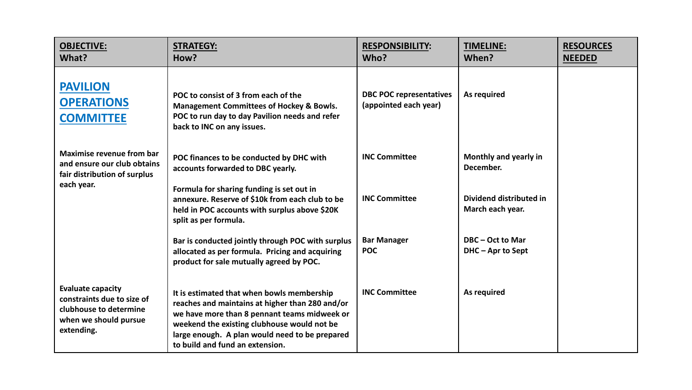| <b>OBJECTIVE:</b><br>What?                                                                                              | <b>STRATEGY:</b><br>How?                                                                                                                                                                                                                                                          | <b>RESPONSIBILITY:</b><br>Who?                          | <b>TIMELINE:</b><br>When?                                                         | <b>RESOURCES</b><br><b>NEEDED</b> |
|-------------------------------------------------------------------------------------------------------------------------|-----------------------------------------------------------------------------------------------------------------------------------------------------------------------------------------------------------------------------------------------------------------------------------|---------------------------------------------------------|-----------------------------------------------------------------------------------|-----------------------------------|
| <b>PAVILION</b><br><b>OPERATIONS</b><br><b>COMMITTEE</b>                                                                | POC to consist of 3 from each of the<br><b>Management Committees of Hockey &amp; Bowls.</b><br>POC to run day to day Pavilion needs and refer<br>back to INC on any issues.                                                                                                       | <b>DBC POC representatives</b><br>(appointed each year) | As required                                                                       |                                   |
| <b>Maximise revenue from bar</b><br>and ensure our club obtains<br>fair distribution of surplus<br>each year.           | POC finances to be conducted by DHC with<br>accounts forwarded to DBC yearly.<br>Formula for sharing funding is set out in<br>annexure. Reserve of \$10k from each club to be<br>held in POC accounts with surplus above \$20K<br>split as per formula.                           | <b>INC Committee</b><br><b>INC Committee</b>            | Monthly and yearly in<br>December.<br>Dividend distributed in<br>March each year. |                                   |
|                                                                                                                         | Bar is conducted jointly through POC with surplus<br>allocated as per formula. Pricing and acquiring<br>product for sale mutually agreed by POC.                                                                                                                                  | <b>Bar Manager</b><br><b>POC</b>                        | DBC - Oct to Mar<br>DHC - Apr to Sept                                             |                                   |
| <b>Evaluate capacity</b><br>constraints due to size of<br>clubhouse to determine<br>when we should pursue<br>extending. | It is estimated that when bowls membership<br>reaches and maintains at higher than 280 and/or<br>we have more than 8 pennant teams midweek or<br>weekend the existing clubhouse would not be<br>large enough. A plan would need to be prepared<br>to build and fund an extension. | <b>INC Committee</b>                                    | As required                                                                       |                                   |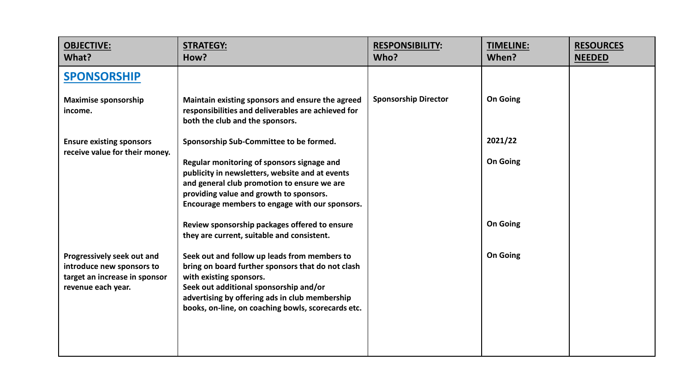| <b>OBJECTIVE:</b><br>What?                                                                                     | <b>STRATEGY:</b><br>How?                                                                                                                                                                                                                                                       | <b>RESPONSIBILITY:</b><br>Who? | <b>TIMELINE:</b><br>When? | <b>RESOURCES</b><br><b>NEEDED</b> |
|----------------------------------------------------------------------------------------------------------------|--------------------------------------------------------------------------------------------------------------------------------------------------------------------------------------------------------------------------------------------------------------------------------|--------------------------------|---------------------------|-----------------------------------|
| <b>SPONSORSHIP</b>                                                                                             |                                                                                                                                                                                                                                                                                |                                |                           |                                   |
| <b>Maximise sponsorship</b><br>income.                                                                         | Maintain existing sponsors and ensure the agreed<br>responsibilities and deliverables are achieved for<br>both the club and the sponsors.                                                                                                                                      | <b>Sponsorship Director</b>    | On Going                  |                                   |
| <b>Ensure existing sponsors</b><br>receive value for their money.                                              | Sponsorship Sub-Committee to be formed.                                                                                                                                                                                                                                        |                                | 2021/22                   |                                   |
|                                                                                                                | Regular monitoring of sponsors signage and<br>publicity in newsletters, website and at events<br>and general club promotion to ensure we are<br>providing value and growth to sponsors.<br>Encourage members to engage with our sponsors.                                      |                                | <b>On Going</b>           |                                   |
|                                                                                                                | Review sponsorship packages offered to ensure<br>they are current, suitable and consistent.                                                                                                                                                                                    |                                | <b>On Going</b>           |                                   |
| Progressively seek out and<br>introduce new sponsors to<br>target an increase in sponsor<br>revenue each year. | Seek out and follow up leads from members to<br>bring on board further sponsors that do not clash<br>with existing sponsors.<br>Seek out additional sponsorship and/or<br>advertising by offering ads in club membership<br>books, on-line, on coaching bowls, scorecards etc. |                                | <b>On Going</b>           |                                   |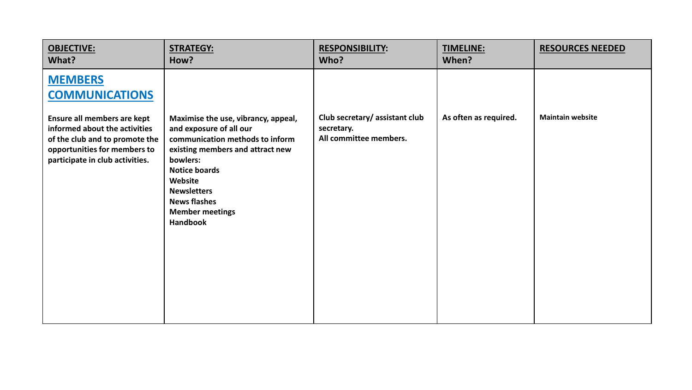| <b>OBJECTIVE:</b>                                                                                                                                                                                            | <b>STRATEGY:</b>                                                                                                                                                                                                                                                               | <b>RESPONSIBILITY:</b>                                                | <b>TIMELINE:</b>      | <b>RESOURCES NEEDED</b> |
|--------------------------------------------------------------------------------------------------------------------------------------------------------------------------------------------------------------|--------------------------------------------------------------------------------------------------------------------------------------------------------------------------------------------------------------------------------------------------------------------------------|-----------------------------------------------------------------------|-----------------------|-------------------------|
| What?                                                                                                                                                                                                        | How?                                                                                                                                                                                                                                                                           | Who?                                                                  | When?                 |                         |
| <b>MEMBERS</b><br><b>COMMUNICATIONS</b><br>Ensure all members are kept<br>informed about the activities<br>of the club and to promote the<br>opportunities for members to<br>participate in club activities. | Maximise the use, vibrancy, appeal,<br>and exposure of all our<br>communication methods to inform<br>existing members and attract new<br>bowlers:<br><b>Notice boards</b><br>Website<br><b>Newsletters</b><br><b>News flashes</b><br><b>Member meetings</b><br><b>Handbook</b> | Club secretary/assistant club<br>secretary.<br>All committee members. | As often as required. | <b>Maintain website</b> |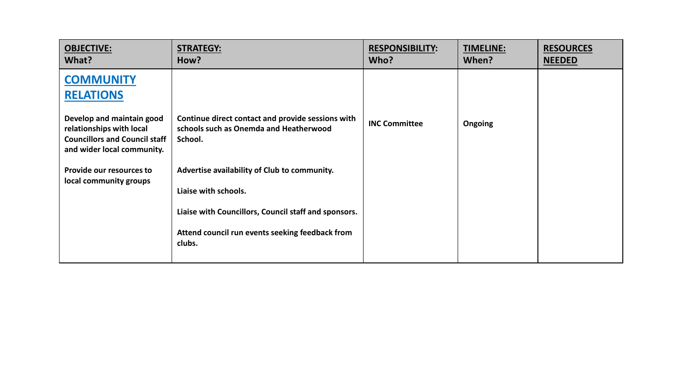| <b>OBJECTIVE:</b><br>What?                                                                                                  | <b>STRATEGY:</b><br>How?                                                                               | <b>RESPONSIBILITY:</b><br>Who? | <b>TIMELINE:</b><br>When? | <b>RESOURCES</b><br><b>NEEDED</b> |
|-----------------------------------------------------------------------------------------------------------------------------|--------------------------------------------------------------------------------------------------------|--------------------------------|---------------------------|-----------------------------------|
| <b>COMMUNITY</b><br><b>RELATIONS</b>                                                                                        |                                                                                                        |                                |                           |                                   |
| Develop and maintain good<br>relationships with local<br><b>Councillors and Council staff</b><br>and wider local community. | Continue direct contact and provide sessions with<br>schools such as Onemda and Heatherwood<br>School. | <b>INC Committee</b>           | <b>Ongoing</b>            |                                   |
| Provide our resources to<br>local community groups                                                                          | Advertise availability of Club to community.<br>Liaise with schools.                                   |                                |                           |                                   |
|                                                                                                                             | Liaise with Councillors, Council staff and sponsors.                                                   |                                |                           |                                   |
|                                                                                                                             | Attend council run events seeking feedback from<br>clubs.                                              |                                |                           |                                   |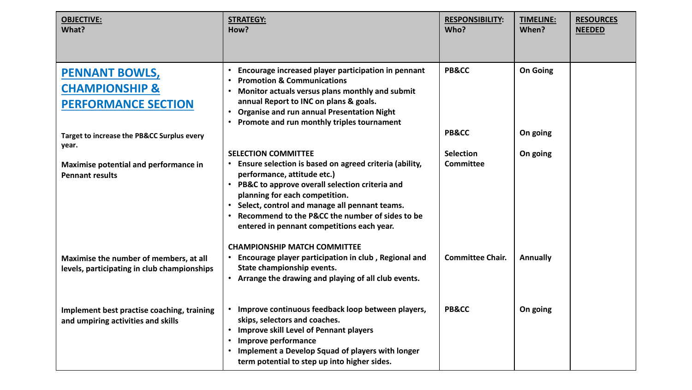| <b>OBJECTIVE:</b><br>What?                                                            | <b>STRATEGY:</b><br>How?                                                                                                                                                                                                                                                                                                                                                                                        | <b>RESPONSIBILITY:</b><br>Who?       | <b>TIMELINE:</b><br>When? | <b>RESOURCES</b><br><b>NEEDED</b> |
|---------------------------------------------------------------------------------------|-----------------------------------------------------------------------------------------------------------------------------------------------------------------------------------------------------------------------------------------------------------------------------------------------------------------------------------------------------------------------------------------------------------------|--------------------------------------|---------------------------|-----------------------------------|
| <b>PENNANT BOWLS,</b><br><b>CHAMPIONSHIP &amp;</b><br><b>PERFORMANCE SECTION</b>      | Encourage increased player participation in pennant<br>$\bullet$<br><b>Promotion &amp; Communications</b><br>$\bullet$<br>Monitor actuals versus plans monthly and submit<br>$\bullet$<br>annual Report to INC on plans & goals.<br><b>Organise and run annual Presentation Night</b><br>$\bullet$<br>Promote and run monthly triples tournament<br>$\bullet$                                                   | <b>PB&amp;CC</b>                     | <b>On Going</b>           |                                   |
| <b>Target to increase the PB&amp;CC Surplus every</b>                                 |                                                                                                                                                                                                                                                                                                                                                                                                                 | <b>PB&amp;CC</b>                     | On going                  |                                   |
| year.<br>Maximise potential and performance in<br><b>Pennant results</b>              | <b>SELECTION COMMITTEE</b><br>Ensure selection is based on agreed criteria (ability,<br>performance, attitude etc.)<br>PB&C to approve overall selection criteria and<br>planning for each competition.<br>• Select, control and manage all pennant teams.<br>Recommend to the P&CC the number of sides to be<br>$\bullet$<br>entered in pennant competitions each year.<br><b>CHAMPIONSHIP MATCH COMMITTEE</b> | <b>Selection</b><br><b>Committee</b> | On going                  |                                   |
| Maximise the number of members, at all<br>levels, participating in club championships | Encourage player participation in club, Regional and<br>State championship events.<br>Arrange the drawing and playing of all club events.<br>$\bullet$                                                                                                                                                                                                                                                          | <b>Committee Chair.</b>              | <b>Annually</b>           |                                   |
| Implement best practise coaching, training<br>and umpiring activities and skills      | Improve continuous feedback loop between players,<br>$\bullet$<br>skips, selectors and coaches.<br>• Improve skill Level of Pennant players<br>Improve performance<br>$\bullet$<br>Implement a Develop Squad of players with longer<br>$\bullet$<br>term potential to step up into higher sides.                                                                                                                | <b>PB&amp;CC</b>                     | On going                  |                                   |